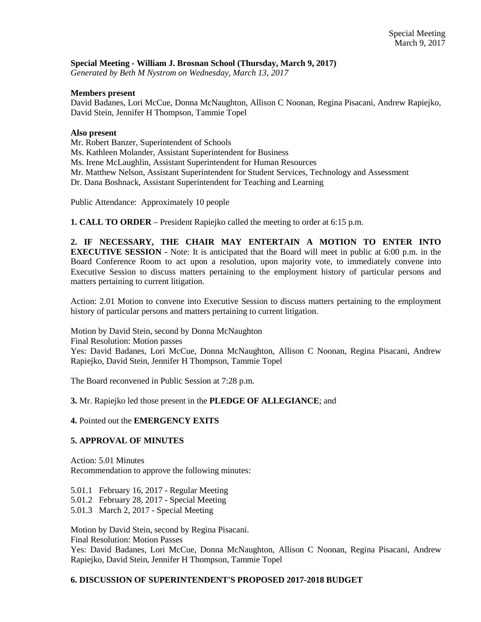### **Special Meeting - William J. Brosnan School (Thursday, March 9, 2017)**

*Generated by Beth M Nystrom on Wednesday, March 13, 2017*

#### **Members present**

David Badanes, Lori McCue, Donna McNaughton, Allison C Noonan, Regina Pisacani, Andrew Rapiejko, David Stein, Jennifer H Thompson, Tammie Topel

#### **Also present**

Mr. Robert Banzer, Superintendent of Schools

Ms. Kathleen Molander, Assistant Superintendent for Business

Ms. Irene McLaughlin, Assistant Superintendent for Human Resources

Mr. Matthew Nelson, Assistant Superintendent for Student Services, Technology and Assessment

Dr. Dana Boshnack, Assistant Superintendent for Teaching and Learning

Public Attendance: Approximately 10 people

**1. CALL TO ORDER** – President Rapiejko called the meeting to order at 6:15 p.m.

**2. IF NECESSARY, THE CHAIR MAY ENTERTAIN A MOTION TO ENTER INTO EXECUTIVE SESSION** - Note: It is anticipated that the Board will meet in public at 6:00 p.m. in the Board Conference Room to act upon a resolution, upon majority vote, to immediately convene into Executive Session to discuss matters pertaining to the employment history of particular persons and matters pertaining to current litigation.

Action: 2.01 Motion to convene into Executive Session to discuss matters pertaining to the employment history of particular persons and matters pertaining to current litigation.

Motion by David Stein, second by Donna McNaughton

Final Resolution: Motion passes

Yes: David Badanes, Lori McCue, Donna McNaughton, Allison C Noonan, Regina Pisacani, Andrew Rapiejko, David Stein, Jennifer H Thompson, Tammie Topel

The Board reconvened in Public Session at 7:28 p.m.

**3.** Mr. Rapiejko led those present in the **PLEDGE OF ALLEGIANCE**; and

## **4.** Pointed out the **EMERGENCY EXITS**

# **5. APPROVAL OF MINUTES**

Action: 5.01 Minutes Recommendation to approve the following minutes:

5.01.1 February 16, 2017 - Regular Meeting

5.01.2 February 28, 2017 - Special Meeting

5.01.3 March 2, 2017 - Special Meeting

Motion by David Stein, second by Regina Pisacani. Final Resolution: Motion Passes

Yes: David Badanes, Lori McCue, Donna McNaughton, Allison C Noonan, Regina Pisacani, Andrew Rapiejko, David Stein, Jennifer H Thompson, Tammie Topel

#### **6. DISCUSSION OF SUPERINTENDENT'S PROPOSED 2017-2018 BUDGET**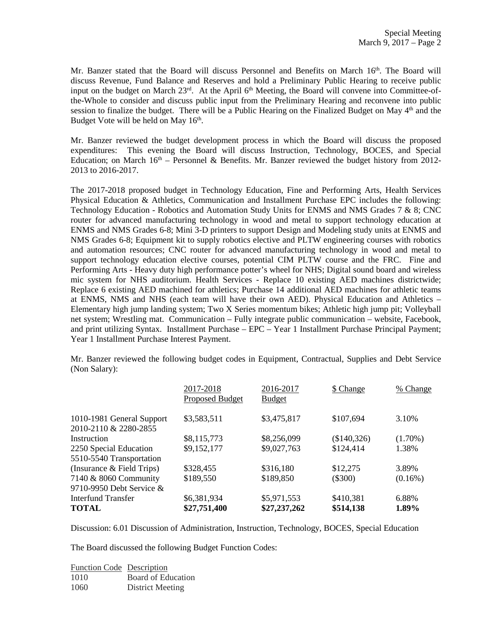Mr. Banzer stated that the Board will discuss Personnel and Benefits on March  $16<sup>th</sup>$ . The Board will discuss Revenue, Fund Balance and Reserves and hold a Preliminary Public Hearing to receive public input on the budget on March 23<sup>rd</sup>. At the April 6<sup>th</sup> Meeting, the Board will convene into Committee-ofthe-Whole to consider and discuss public input from the Preliminary Hearing and reconvene into public session to finalize the budget. There will be a Public Hearing on the Finalized Budget on May  $4<sup>th</sup>$  and the Budget Vote will be held on May 16<sup>th</sup>.

Mr. Banzer reviewed the budget development process in which the Board will discuss the proposed expenditures: This evening the Board will discuss Instruction, Technology, BOCES, and Special Education; on March  $16<sup>th</sup>$  – Personnel & Benefits. Mr. Banzer reviewed the budget history from 2012-2013 to 2016-2017.

The 2017-2018 proposed budget in Technology Education, Fine and Performing Arts, Health Services Physical Education & Athletics, Communication and Installment Purchase EPC includes the following: Technology Education - Robotics and Automation Study Units for ENMS and NMS Grades 7 & 8; CNC router for advanced manufacturing technology in wood and metal to support technology education at ENMS and NMS Grades 6-8; Mini 3-D printers to support Design and Modeling study units at ENMS and NMS Grades 6-8; Equipment kit to supply robotics elective and PLTW engineering courses with robotics and automation resources; CNC router for advanced manufacturing technology in wood and metal to support technology education elective courses, potential CIM PLTW course and the FRC. Fine and Performing Arts - Heavy duty high performance potter's wheel for NHS; Digital sound board and wireless mic system for NHS auditorium. Health Services - Replace 10 existing AED machines districtwide; Replace 6 existing AED machined for athletics; Purchase 14 additional AED machines for athletic teams at ENMS, NMS and NHS (each team will have their own AED). Physical Education and Athletics – Elementary high jump landing system; Two X Series momentum bikes; Athletic high jump pit; Volleyball net system; Wrestling mat. Communication – Fully integrate public communication – website, Facebook, and print utilizing Syntax. Installment Purchase – EPC – Year 1 Installment Purchase Principal Payment; Year 1 Installment Purchase Interest Payment.

Mr. Banzer reviewed the following budget codes in Equipment, Contractual, Supplies and Debt Service (Non Salary):

|                                                    | 2017-2018<br><b>Proposed Budget</b> | 2016-2017<br><b>Budget</b> | \$ Change   | % Change   |
|----------------------------------------------------|-------------------------------------|----------------------------|-------------|------------|
| 1010-1981 General Support<br>2010-2110 & 2280-2855 | \$3,583,511                         | \$3,475,817                | \$107,694   | 3.10%      |
| Instruction                                        | \$8,115,773                         | \$8,256,099                | (\$140,326) | $(1.70\%)$ |
| 2250 Special Education                             | \$9,152,177                         | \$9,027,763                | \$124,414   | 1.38%      |
| 5510-5540 Transportation                           |                                     |                            |             |            |
| (Insurance & Field Trips)                          | \$328,455                           | \$316,180                  | \$12,275    | 3.89%      |
| 7140 & 8060 Community                              | \$189,550                           | \$189,850                  | $(\$300)$   | $(0.16\%)$ |
| 9710-9950 Debt Service &                           |                                     |                            |             |            |
| Interfund Transfer                                 | \$6,381,934                         | \$5,971,553                | \$410,381   | 6.88%      |
| <b>TOTAL</b>                                       | \$27,751,400                        | \$27,237,262               | \$514,138   | 1.89%      |

Discussion: 6.01 Discussion of Administration, Instruction, Technology, BOCES, Special Education

The Board discussed the following Budget Function Codes:

| <b>Function Code</b> Description |                    |
|----------------------------------|--------------------|
| 1010                             | Board of Education |
| 1060                             | District Meeting   |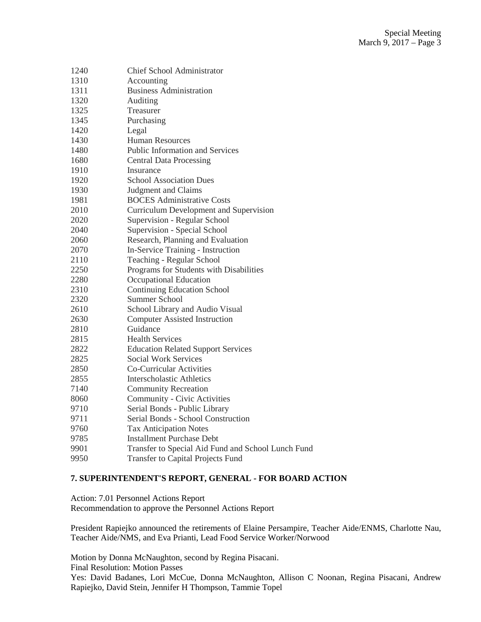| 1240 | <b>Chief School Administrator</b>                  |
|------|----------------------------------------------------|
| 1310 | Accounting                                         |
| 1311 | <b>Business Administration</b>                     |
| 1320 | Auditing                                           |
| 1325 | Treasurer                                          |
| 1345 | Purchasing                                         |
| 1420 | Legal                                              |
| 1430 | <b>Human Resources</b>                             |
| 1480 | Public Information and Services                    |
| 1680 | <b>Central Data Processing</b>                     |
| 1910 | Insurance                                          |
| 1920 | <b>School Association Dues</b>                     |
| 1930 | Judgment and Claims                                |
| 1981 | <b>BOCES</b> Administrative Costs                  |
| 2010 | <b>Curriculum Development and Supervision</b>      |
| 2020 | Supervision - Regular School                       |
| 2040 | Supervision - Special School                       |
| 2060 | Research, Planning and Evaluation                  |
| 2070 | In-Service Training - Instruction                  |
| 2110 | Teaching - Regular School                          |
| 2250 | Programs for Students with Disabilities            |
| 2280 | Occupational Education                             |
| 2310 | <b>Continuing Education School</b>                 |
| 2320 | <b>Summer School</b>                               |
| 2610 | School Library and Audio Visual                    |
| 2630 | <b>Computer Assisted Instruction</b>               |
| 2810 | Guidance                                           |
| 2815 | <b>Health Services</b>                             |
| 2822 | <b>Education Related Support Services</b>          |
| 2825 | <b>Social Work Services</b>                        |
| 2850 | Co-Curricular Activities                           |
| 2855 | Interscholastic Athletics                          |
| 7140 | <b>Community Recreation</b>                        |
| 8060 | Community - Civic Activities                       |
| 9710 | Serial Bonds - Public Library                      |
| 9711 | Serial Bonds - School Construction                 |
| 9760 | <b>Tax Anticipation Notes</b>                      |
| 9785 | <b>Installment Purchase Debt</b>                   |
| 9901 | Transfer to Special Aid Fund and School Lunch Fund |
|      |                                                    |

9950 Transfer to Capital Projects Fund

## **7. SUPERINTENDENT'S REPORT, GENERAL - FOR BOARD ACTION**

Action: 7.01 Personnel Actions Report Recommendation to approve the Personnel Actions Report

President Rapiejko announced the retirements of Elaine Persampire, Teacher Aide/ENMS, Charlotte Nau, Teacher Aide/NMS, and Eva Prianti, Lead Food Service Worker/Norwood

Motion by Donna McNaughton, second by Regina Pisacani. Final Resolution: Motion Passes Yes: David Badanes, Lori McCue, Donna McNaughton, Allison C Noonan, Regina Pisacani, Andrew Rapiejko, David Stein, Jennifer H Thompson, Tammie Topel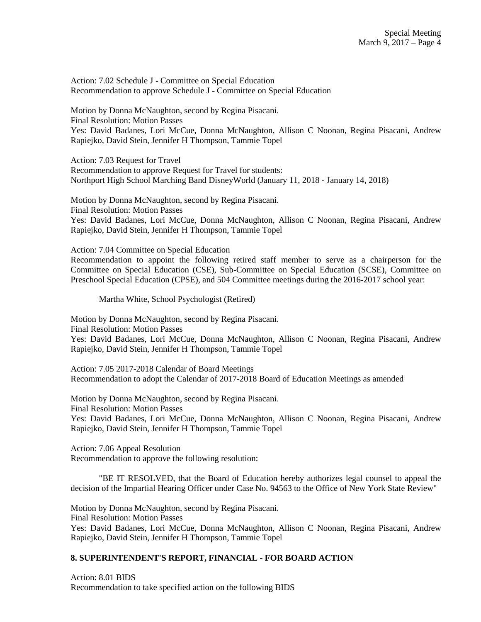Action: 7.02 Schedule J - Committee on Special Education Recommendation to approve Schedule J - Committee on Special Education

Motion by Donna McNaughton, second by Regina Pisacani. Final Resolution: Motion Passes Yes: David Badanes, Lori McCue, Donna McNaughton, Allison C Noonan, Regina Pisacani, Andrew Rapiejko, David Stein, Jennifer H Thompson, Tammie Topel

Action: 7.03 Request for Travel Recommendation to approve Request for Travel for students: Northport High School Marching Band DisneyWorld (January 11, 2018 - January 14, 2018)

Motion by Donna McNaughton, second by Regina Pisacani. Final Resolution: Motion Passes Yes: David Badanes, Lori McCue, Donna McNaughton, Allison C Noonan, Regina Pisacani, Andrew Rapiejko, David Stein, Jennifer H Thompson, Tammie Topel

Action: 7.04 Committee on Special Education

Recommendation to appoint the following retired staff member to serve as a chairperson for the Committee on Special Education (CSE), Sub-Committee on Special Education (SCSE), Committee on Preschool Special Education (CPSE), and 504 Committee meetings during the 2016-2017 school year:

Martha White, School Psychologist (Retired)

Motion by Donna McNaughton, second by Regina Pisacani. Final Resolution: Motion Passes Yes: David Badanes, Lori McCue, Donna McNaughton, Allison C Noonan, Regina Pisacani, Andrew Rapiejko, David Stein, Jennifer H Thompson, Tammie Topel

Action: 7.05 2017-2018 Calendar of Board Meetings Recommendation to adopt the Calendar of 2017-2018 Board of Education Meetings as amended

Motion by Donna McNaughton, second by Regina Pisacani. Final Resolution: Motion Passes Yes: David Badanes, Lori McCue, Donna McNaughton, Allison C Noonan, Regina Pisacani, Andrew Rapiejko, David Stein, Jennifer H Thompson, Tammie Topel

Action: 7.06 Appeal Resolution Recommendation to approve the following resolution:

"BE IT RESOLVED, that the Board of Education hereby authorizes legal counsel to appeal the decision of the Impartial Hearing Officer under Case No. 94563 to the Office of New York State Review"

Motion by Donna McNaughton, second by Regina Pisacani. Final Resolution: Motion Passes Yes: David Badanes, Lori McCue, Donna McNaughton, Allison C Noonan, Regina Pisacani, Andrew Rapiejko, David Stein, Jennifer H Thompson, Tammie Topel

## **8. SUPERINTENDENT'S REPORT, FINANCIAL - FOR BOARD ACTION**

Action: 8.01 BIDS Recommendation to take specified action on the following BIDS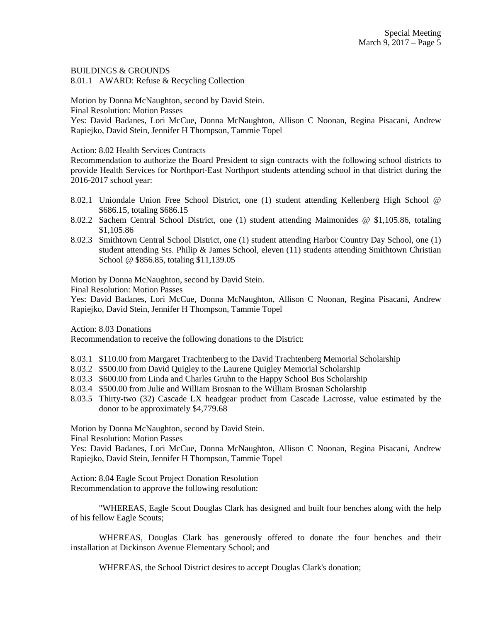BUILDINGS & GROUNDS

8.01.1 AWARD: Refuse & Recycling Collection

Motion by Donna McNaughton, second by David Stein.

Final Resolution: Motion Passes

Yes: David Badanes, Lori McCue, Donna McNaughton, Allison C Noonan, Regina Pisacani, Andrew Rapiejko, David Stein, Jennifer H Thompson, Tammie Topel

Action: 8.02 Health Services Contracts

Recommendation to authorize the Board President to sign contracts with the following school districts to provide Health Services for Northport-East Northport students attending school in that district during the 2016-2017 school year:

- 8.02.1 Uniondale Union Free School District, one (1) student attending Kellenberg High School @ \$686.15, totaling \$686.15
- 8.02.2 Sachem Central School District, one (1) student attending Maimonides @ \$1,105.86, totaling \$1,105.86
- 8.02.3 Smithtown Central School District, one (1) student attending Harbor Country Day School, one (1) student attending Sts. Philip & James School, eleven (11) students attending Smithtown Christian School @ \$856.85, totaling \$11,139.05

Motion by Donna McNaughton, second by David Stein.

Final Resolution: Motion Passes

Yes: David Badanes, Lori McCue, Donna McNaughton, Allison C Noonan, Regina Pisacani, Andrew Rapiejko, David Stein, Jennifer H Thompson, Tammie Topel

Action: 8.03 Donations

Recommendation to receive the following donations to the District:

- 8.03.1 \$110.00 from Margaret Trachtenberg to the David Trachtenberg Memorial Scholarship
- 8.03.2 \$500.00 from David Quigley to the Laurene Quigley Memorial Scholarship
- 8.03.3 \$600.00 from Linda and Charles Gruhn to the Happy School Bus Scholarship
- 8.03.4 \$500.00 from Julie and William Brosnan to the William Brosnan Scholarship
- 8.03.5 Thirty-two (32) Cascade LX headgear product from Cascade Lacrosse, value estimated by the donor to be approximately \$4,779.68

Motion by Donna McNaughton, second by David Stein.

Final Resolution: Motion Passes

Yes: David Badanes, Lori McCue, Donna McNaughton, Allison C Noonan, Regina Pisacani, Andrew Rapiejko, David Stein, Jennifer H Thompson, Tammie Topel

Action: 8.04 Eagle Scout Project Donation Resolution Recommendation to approve the following resolution:

"WHEREAS, Eagle Scout Douglas Clark has designed and built four benches along with the help of his fellow Eagle Scouts;

WHEREAS, Douglas Clark has generously offered to donate the four benches and their installation at Dickinson Avenue Elementary School; and

WHEREAS, the School District desires to accept Douglas Clark's donation;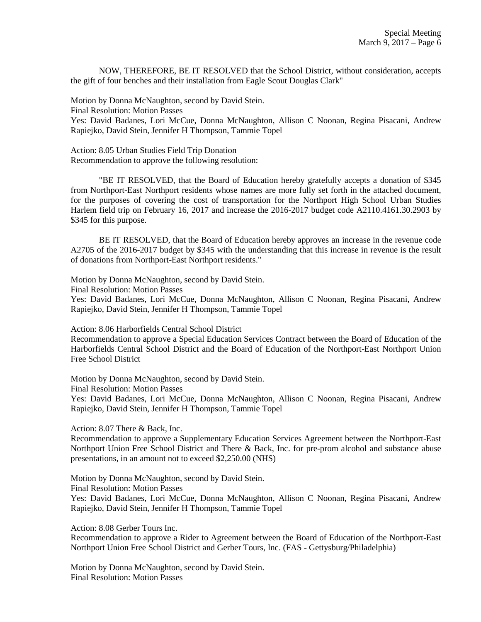NOW, THEREFORE, BE IT RESOLVED that the School District, without consideration, accepts the gift of four benches and their installation from Eagle Scout Douglas Clark"

Motion by Donna McNaughton, second by David Stein. Final Resolution: Motion Passes Yes: David Badanes, Lori McCue, Donna McNaughton, Allison C Noonan, Regina Pisacani, Andrew Rapiejko, David Stein, Jennifer H Thompson, Tammie Topel

Action: 8.05 Urban Studies Field Trip Donation Recommendation to approve the following resolution:

"BE IT RESOLVED, that the Board of Education hereby gratefully accepts a donation of \$345 from Northport-East Northport residents whose names are more fully set forth in the attached document, for the purposes of covering the cost of transportation for the Northport High School Urban Studies Harlem field trip on February 16, 2017 and increase the 2016-2017 budget code A2110.4161.30.2903 by \$345 for this purpose.

BE IT RESOLVED, that the Board of Education hereby approves an increase in the revenue code A2705 of the 2016-2017 budget by \$345 with the understanding that this increase in revenue is the result of donations from Northport-East Northport residents."

Motion by Donna McNaughton, second by David Stein.

Final Resolution: Motion Passes

Yes: David Badanes, Lori McCue, Donna McNaughton, Allison C Noonan, Regina Pisacani, Andrew Rapiejko, David Stein, Jennifer H Thompson, Tammie Topel

Action: 8.06 Harborfields Central School District

Recommendation to approve a Special Education Services Contract between the Board of Education of the Harborfields Central School District and the Board of Education of the Northport-East Northport Union Free School District

Motion by Donna McNaughton, second by David Stein.

Final Resolution: Motion Passes

Yes: David Badanes, Lori McCue, Donna McNaughton, Allison C Noonan, Regina Pisacani, Andrew Rapiejko, David Stein, Jennifer H Thompson, Tammie Topel

Action: 8.07 There & Back, Inc.

Recommendation to approve a Supplementary Education Services Agreement between the Northport-East Northport Union Free School District and There & Back, Inc. for pre-prom alcohol and substance abuse presentations, in an amount not to exceed \$2,250.00 (NHS)

Motion by Donna McNaughton, second by David Stein. Final Resolution: Motion Passes

Yes: David Badanes, Lori McCue, Donna McNaughton, Allison C Noonan, Regina Pisacani, Andrew Rapiejko, David Stein, Jennifer H Thompson, Tammie Topel

Action: 8.08 Gerber Tours Inc.

Recommendation to approve a Rider to Agreement between the Board of Education of the Northport-East Northport Union Free School District and Gerber Tours, Inc. (FAS - Gettysburg/Philadelphia)

Motion by Donna McNaughton, second by David Stein. Final Resolution: Motion Passes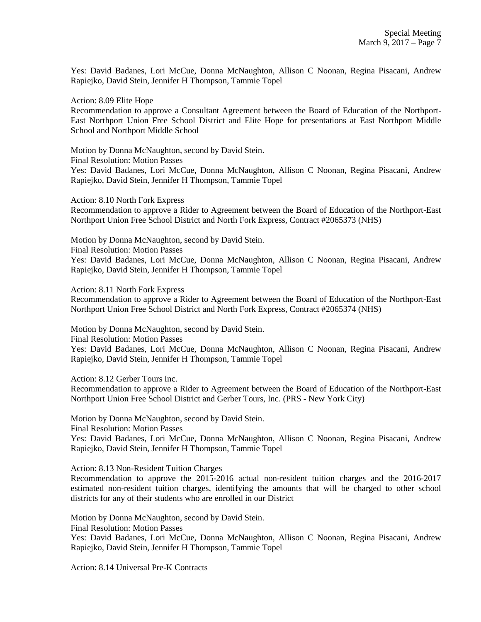Yes: David Badanes, Lori McCue, Donna McNaughton, Allison C Noonan, Regina Pisacani, Andrew Rapiejko, David Stein, Jennifer H Thompson, Tammie Topel

Action: 8.09 Elite Hope

Recommendation to approve a Consultant Agreement between the Board of Education of the Northport-East Northport Union Free School District and Elite Hope for presentations at East Northport Middle School and Northport Middle School

Motion by Donna McNaughton, second by David Stein.

Final Resolution: Motion Passes

Yes: David Badanes, Lori McCue, Donna McNaughton, Allison C Noonan, Regina Pisacani, Andrew Rapiejko, David Stein, Jennifer H Thompson, Tammie Topel

Action: 8.10 North Fork Express

Recommendation to approve a Rider to Agreement between the Board of Education of the Northport-East Northport Union Free School District and North Fork Express, Contract #2065373 (NHS)

Motion by Donna McNaughton, second by David Stein.

Final Resolution: Motion Passes

Yes: David Badanes, Lori McCue, Donna McNaughton, Allison C Noonan, Regina Pisacani, Andrew Rapiejko, David Stein, Jennifer H Thompson, Tammie Topel

Action: 8.11 North Fork Express

Recommendation to approve a Rider to Agreement between the Board of Education of the Northport-East Northport Union Free School District and North Fork Express, Contract #2065374 (NHS)

Motion by Donna McNaughton, second by David Stein.

Final Resolution: Motion Passes

Yes: David Badanes, Lori McCue, Donna McNaughton, Allison C Noonan, Regina Pisacani, Andrew Rapiejko, David Stein, Jennifer H Thompson, Tammie Topel

Action: 8.12 Gerber Tours Inc.

Recommendation to approve a Rider to Agreement between the Board of Education of the Northport-East Northport Union Free School District and Gerber Tours, Inc. (PRS - New York City)

Motion by Donna McNaughton, second by David Stein.

Final Resolution: Motion Passes

Yes: David Badanes, Lori McCue, Donna McNaughton, Allison C Noonan, Regina Pisacani, Andrew Rapiejko, David Stein, Jennifer H Thompson, Tammie Topel

Action: 8.13 Non-Resident Tuition Charges

Recommendation to approve the 2015-2016 actual non-resident tuition charges and the 2016-2017 estimated non-resident tuition charges, identifying the amounts that will be charged to other school districts for any of their students who are enrolled in our District

Motion by Donna McNaughton, second by David Stein.

Final Resolution: Motion Passes

Yes: David Badanes, Lori McCue, Donna McNaughton, Allison C Noonan, Regina Pisacani, Andrew Rapiejko, David Stein, Jennifer H Thompson, Tammie Topel

Action: 8.14 Universal Pre-K Contracts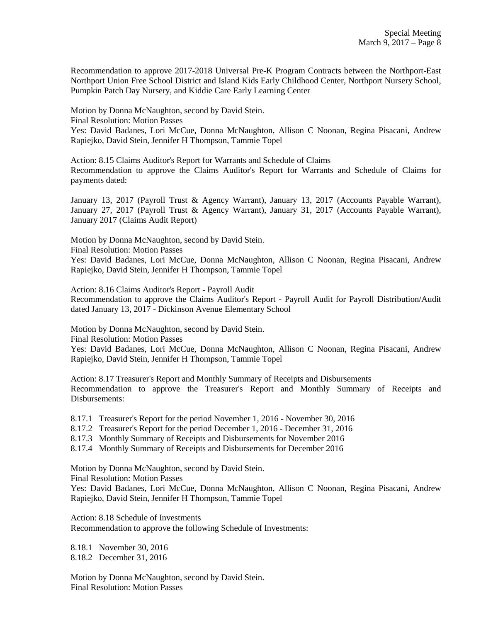Recommendation to approve 2017-2018 Universal Pre-K Program Contracts between the Northport-East Northport Union Free School District and Island Kids Early Childhood Center, Northport Nursery School, Pumpkin Patch Day Nursery, and Kiddie Care Early Learning Center

Motion by Donna McNaughton, second by David Stein. Final Resolution: Motion Passes Yes: David Badanes, Lori McCue, Donna McNaughton, Allison C Noonan, Regina Pisacani, Andrew Rapiejko, David Stein, Jennifer H Thompson, Tammie Topel

Action: 8.15 Claims Auditor's Report for Warrants and Schedule of Claims Recommendation to approve the Claims Auditor's Report for Warrants and Schedule of Claims for payments dated:

January 13, 2017 (Payroll Trust & Agency Warrant), January 13, 2017 (Accounts Payable Warrant), January 27, 2017 (Payroll Trust & Agency Warrant), January 31, 2017 (Accounts Payable Warrant), January 2017 (Claims Audit Report)

Motion by Donna McNaughton, second by David Stein.

Final Resolution: Motion Passes

Yes: David Badanes, Lori McCue, Donna McNaughton, Allison C Noonan, Regina Pisacani, Andrew Rapiejko, David Stein, Jennifer H Thompson, Tammie Topel

Action: 8.16 Claims Auditor's Report - Payroll Audit Recommendation to approve the Claims Auditor's Report - Payroll Audit for Payroll Distribution/Audit dated January 13, 2017 - Dickinson Avenue Elementary School

Motion by Donna McNaughton, second by David Stein.

Final Resolution: Motion Passes

Yes: David Badanes, Lori McCue, Donna McNaughton, Allison C Noonan, Regina Pisacani, Andrew Rapiejko, David Stein, Jennifer H Thompson, Tammie Topel

Action: 8.17 Treasurer's Report and Monthly Summary of Receipts and Disbursements Recommendation to approve the Treasurer's Report and Monthly Summary of Receipts and Disbursements:

8.17.1 Treasurer's Report for the period November 1, 2016 - November 30, 2016

8.17.2 Treasurer's Report for the period December 1, 2016 - December 31, 2016

8.17.3 Monthly Summary of Receipts and Disbursements for November 2016

8.17.4 Monthly Summary of Receipts and Disbursements for December 2016

Motion by Donna McNaughton, second by David Stein.

Final Resolution: Motion Passes

Yes: David Badanes, Lori McCue, Donna McNaughton, Allison C Noonan, Regina Pisacani, Andrew Rapiejko, David Stein, Jennifer H Thompson, Tammie Topel

Action: 8.18 Schedule of Investments Recommendation to approve the following Schedule of Investments:

8.18.1 November 30, 2016 8.18.2 December 31, 2016

Motion by Donna McNaughton, second by David Stein. Final Resolution: Motion Passes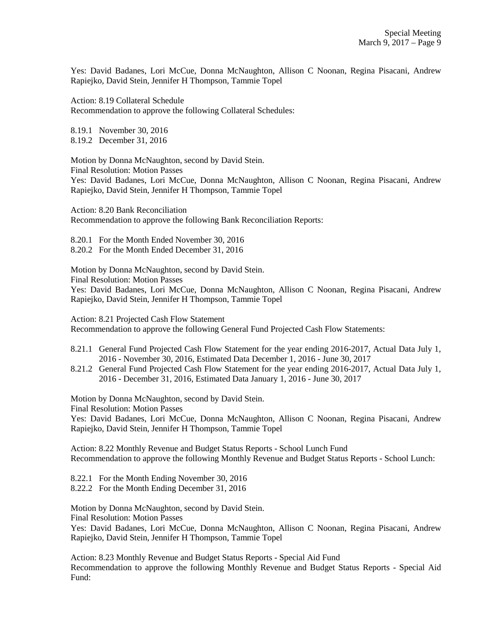Yes: David Badanes, Lori McCue, Donna McNaughton, Allison C Noonan, Regina Pisacani, Andrew Rapiejko, David Stein, Jennifer H Thompson, Tammie Topel

Action: 8.19 Collateral Schedule Recommendation to approve the following Collateral Schedules:

8.19.1 November 30, 2016 8.19.2 December 31, 2016

Motion by Donna McNaughton, second by David Stein. Final Resolution: Motion Passes Yes: David Badanes, Lori McCue, Donna McNaughton, Allison C Noonan, Regina Pisacani, Andrew Rapiejko, David Stein, Jennifer H Thompson, Tammie Topel

Action: 8.20 Bank Reconciliation Recommendation to approve the following Bank Reconciliation Reports:

8.20.1 For the Month Ended November 30, 2016 8.20.2 For the Month Ended December 31, 2016

Motion by Donna McNaughton, second by David Stein. Final Resolution: Motion Passes

Yes: David Badanes, Lori McCue, Donna McNaughton, Allison C Noonan, Regina Pisacani, Andrew Rapiejko, David Stein, Jennifer H Thompson, Tammie Topel

Action: 8.21 Projected Cash Flow Statement

Recommendation to approve the following General Fund Projected Cash Flow Statements:

- 8.21.1 General Fund Projected Cash Flow Statement for the year ending 2016-2017, Actual Data July 1, 2016 - November 30, 2016, Estimated Data December 1, 2016 - June 30, 2017
- 8.21.2 General Fund Projected Cash Flow Statement for the year ending 2016-2017, Actual Data July 1, 2016 - December 31, 2016, Estimated Data January 1, 2016 - June 30, 2017

Motion by Donna McNaughton, second by David Stein.

Final Resolution: Motion Passes

Yes: David Badanes, Lori McCue, Donna McNaughton, Allison C Noonan, Regina Pisacani, Andrew Rapiejko, David Stein, Jennifer H Thompson, Tammie Topel

Action: 8.22 Monthly Revenue and Budget Status Reports - School Lunch Fund Recommendation to approve the following Monthly Revenue and Budget Status Reports - School Lunch:

8.22.1 For the Month Ending November 30, 2016

8.22.2 For the Month Ending December 31, 2016

Motion by Donna McNaughton, second by David Stein.

Final Resolution: Motion Passes

Yes: David Badanes, Lori McCue, Donna McNaughton, Allison C Noonan, Regina Pisacani, Andrew Rapiejko, David Stein, Jennifer H Thompson, Tammie Topel

Action: 8.23 Monthly Revenue and Budget Status Reports - Special Aid Fund Recommendation to approve the following Monthly Revenue and Budget Status Reports - Special Aid Fund: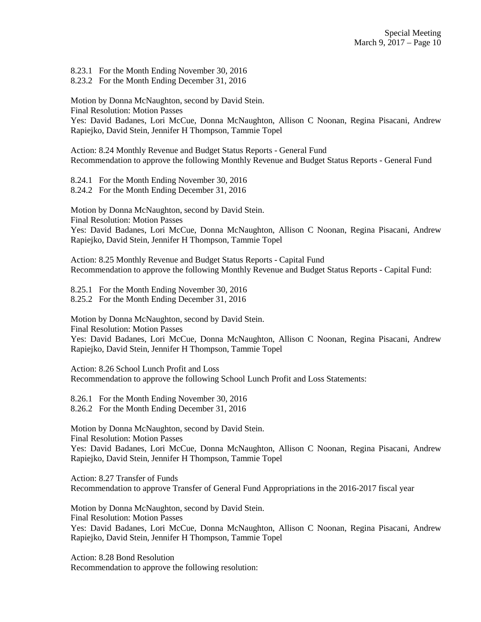8.23.1 For the Month Ending November 30, 2016

8.23.2 For the Month Ending December 31, 2016

Motion by Donna McNaughton, second by David Stein. Final Resolution: Motion Passes Yes: David Badanes, Lori McCue, Donna McNaughton, Allison C Noonan, Regina Pisacani, Andrew Rapiejko, David Stein, Jennifer H Thompson, Tammie Topel

Action: 8.24 Monthly Revenue and Budget Status Reports - General Fund Recommendation to approve the following Monthly Revenue and Budget Status Reports - General Fund

8.24.1 For the Month Ending November 30, 2016 8.24.2 For the Month Ending December 31, 2016

Motion by Donna McNaughton, second by David Stein.

Final Resolution: Motion Passes

Yes: David Badanes, Lori McCue, Donna McNaughton, Allison C Noonan, Regina Pisacani, Andrew Rapiejko, David Stein, Jennifer H Thompson, Tammie Topel

Action: 8.25 Monthly Revenue and Budget Status Reports - Capital Fund Recommendation to approve the following Monthly Revenue and Budget Status Reports - Capital Fund:

8.25.1 For the Month Ending November 30, 2016 8.25.2 For the Month Ending December 31, 2016

Motion by Donna McNaughton, second by David Stein.

Final Resolution: Motion Passes

Yes: David Badanes, Lori McCue, Donna McNaughton, Allison C Noonan, Regina Pisacani, Andrew Rapiejko, David Stein, Jennifer H Thompson, Tammie Topel

Action: 8.26 School Lunch Profit and Loss Recommendation to approve the following School Lunch Profit and Loss Statements:

8.26.1 For the Month Ending November 30, 2016 8.26.2 For the Month Ending December 31, 2016

Motion by Donna McNaughton, second by David Stein. Final Resolution: Motion Passes

Yes: David Badanes, Lori McCue, Donna McNaughton, Allison C Noonan, Regina Pisacani, Andrew Rapiejko, David Stein, Jennifer H Thompson, Tammie Topel

Action: 8.27 Transfer of Funds Recommendation to approve Transfer of General Fund Appropriations in the 2016-2017 fiscal year

Motion by Donna McNaughton, second by David Stein. Final Resolution: Motion Passes Yes: David Badanes, Lori McCue, Donna McNaughton, Allison C Noonan, Regina Pisacani, Andrew Rapiejko, David Stein, Jennifer H Thompson, Tammie Topel

Action: 8.28 Bond Resolution Recommendation to approve the following resolution: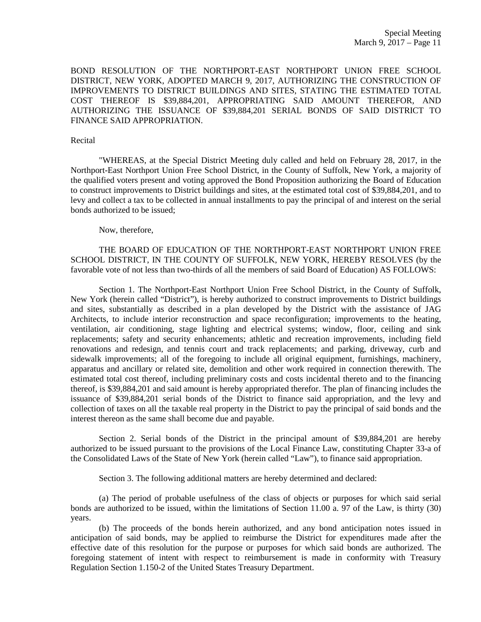BOND RESOLUTION OF THE NORTHPORT-EAST NORTHPORT UNION FREE SCHOOL DISTRICT, NEW YORK, ADOPTED MARCH 9, 2017, AUTHORIZING THE CONSTRUCTION OF IMPROVEMENTS TO DISTRICT BUILDINGS AND SITES, STATING THE ESTIMATED TOTAL COST THEREOF IS \$39,884,201, APPROPRIATING SAID AMOUNT THEREFOR, AND AUTHORIZING THE ISSUANCE OF \$39,884,201 SERIAL BONDS OF SAID DISTRICT TO FINANCE SAID APPROPRIATION.

#### Recital

"WHEREAS, at the Special District Meeting duly called and held on February 28, 2017, in the Northport-East Northport Union Free School District, in the County of Suffolk, New York, a majority of the qualified voters present and voting approved the Bond Proposition authorizing the Board of Education to construct improvements to District buildings and sites, at the estimated total cost of \$39,884,201, and to levy and collect a tax to be collected in annual installments to pay the principal of and interest on the serial bonds authorized to be issued;

Now, therefore,

THE BOARD OF EDUCATION OF THE NORTHPORT-EAST NORTHPORT UNION FREE SCHOOL DISTRICT, IN THE COUNTY OF SUFFOLK, NEW YORK, HEREBY RESOLVES (by the favorable vote of not less than two-thirds of all the members of said Board of Education) AS FOLLOWS:

Section 1. The Northport-East Northport Union Free School District, in the County of Suffolk, New York (herein called "District"), is hereby authorized to construct improvements to District buildings and sites, substantially as described in a plan developed by the District with the assistance of JAG Architects, to include interior reconstruction and space reconfiguration; improvements to the heating, ventilation, air conditioning, stage lighting and electrical systems; window, floor, ceiling and sink replacements; safety and security enhancements; athletic and recreation improvements, including field renovations and redesign, and tennis court and track replacements; and parking, driveway, curb and sidewalk improvements; all of the foregoing to include all original equipment, furnishings, machinery, apparatus and ancillary or related site, demolition and other work required in connection therewith. The estimated total cost thereof, including preliminary costs and costs incidental thereto and to the financing thereof, is \$39,884,201 and said amount is hereby appropriated therefor. The plan of financing includes the issuance of \$39,884,201 serial bonds of the District to finance said appropriation, and the levy and collection of taxes on all the taxable real property in the District to pay the principal of said bonds and the interest thereon as the same shall become due and payable.

Section 2. Serial bonds of the District in the principal amount of \$39,884,201 are hereby authorized to be issued pursuant to the provisions of the Local Finance Law, constituting Chapter 33-a of the Consolidated Laws of the State of New York (herein called "Law"), to finance said appropriation.

Section 3. The following additional matters are hereby determined and declared:

(a) The period of probable usefulness of the class of objects or purposes for which said serial bonds are authorized to be issued, within the limitations of Section 11.00 a. 97 of the Law, is thirty (30) years.

(b) The proceeds of the bonds herein authorized, and any bond anticipation notes issued in anticipation of said bonds, may be applied to reimburse the District for expenditures made after the effective date of this resolution for the purpose or purposes for which said bonds are authorized. The foregoing statement of intent with respect to reimbursement is made in conformity with Treasury Regulation Section 1.150-2 of the United States Treasury Department.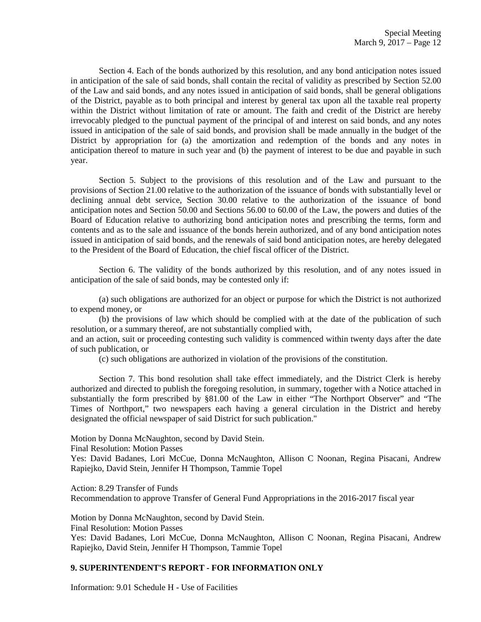Section 4. Each of the bonds authorized by this resolution, and any bond anticipation notes issued in anticipation of the sale of said bonds, shall contain the recital of validity as prescribed by Section 52.00 of the Law and said bonds, and any notes issued in anticipation of said bonds, shall be general obligations of the District, payable as to both principal and interest by general tax upon all the taxable real property within the District without limitation of rate or amount. The faith and credit of the District are hereby irrevocably pledged to the punctual payment of the principal of and interest on said bonds, and any notes issued in anticipation of the sale of said bonds, and provision shall be made annually in the budget of the District by appropriation for (a) the amortization and redemption of the bonds and any notes in anticipation thereof to mature in such year and (b) the payment of interest to be due and payable in such year.

Section 5. Subject to the provisions of this resolution and of the Law and pursuant to the provisions of Section 21.00 relative to the authorization of the issuance of bonds with substantially level or declining annual debt service, Section 30.00 relative to the authorization of the issuance of bond anticipation notes and Section 50.00 and Sections 56.00 to 60.00 of the Law, the powers and duties of the Board of Education relative to authorizing bond anticipation notes and prescribing the terms, form and contents and as to the sale and issuance of the bonds herein authorized, and of any bond anticipation notes issued in anticipation of said bonds, and the renewals of said bond anticipation notes, are hereby delegated to the President of the Board of Education, the chief fiscal officer of the District.

Section 6. The validity of the bonds authorized by this resolution, and of any notes issued in anticipation of the sale of said bonds, may be contested only if:

(a) such obligations are authorized for an object or purpose for which the District is not authorized to expend money, or

(b) the provisions of law which should be complied with at the date of the publication of such resolution, or a summary thereof, are not substantially complied with,

and an action, suit or proceeding contesting such validity is commenced within twenty days after the date of such publication, or

(c) such obligations are authorized in violation of the provisions of the constitution.

Section 7. This bond resolution shall take effect immediately, and the District Clerk is hereby authorized and directed to publish the foregoing resolution, in summary, together with a Notice attached in substantially the form prescribed by §81.00 of the Law in either "The Northport Observer" and "The Times of Northport," two newspapers each having a general circulation in the District and hereby designated the official newspaper of said District for such publication."

Motion by Donna McNaughton, second by David Stein.

Final Resolution: Motion Passes

Yes: David Badanes, Lori McCue, Donna McNaughton, Allison C Noonan, Regina Pisacani, Andrew Rapiejko, David Stein, Jennifer H Thompson, Tammie Topel

Action: 8.29 Transfer of Funds

Recommendation to approve Transfer of General Fund Appropriations in the 2016-2017 fiscal year

Motion by Donna McNaughton, second by David Stein. Final Resolution: Motion Passes

Yes: David Badanes, Lori McCue, Donna McNaughton, Allison C Noonan, Regina Pisacani, Andrew Rapiejko, David Stein, Jennifer H Thompson, Tammie Topel

## **9. SUPERINTENDENT'S REPORT - FOR INFORMATION ONLY**

Information: 9.01 Schedule H - Use of Facilities